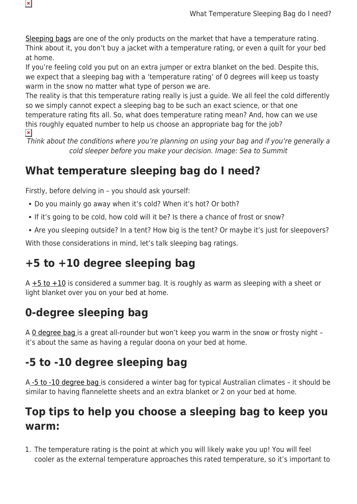[Sleeping bags](https://www.snowys.com.au/sleeping-bags) are one of the only products on the market that have a temperature rating. Think about it, you don't buy a jacket with a temperature rating, or even a quilt for your bed at home.

If you're feeling cold you put on an extra jumper or extra blanket on the bed. Despite this, we expect that a sleeping bag with a 'temperature rating' of 0 degrees will keep us toasty warm in the snow no matter what type of person we are.

The reality is that this temperature rating really is just a guide. We all feel the cold differently so we simply cannot expect a sleeping bag to be such an exact science, or that one temperature rating fits all. So, what does temperature rating mean? And, how can we use this roughly equated number to help us choose an appropriate bag for the job?  $\pmb{\times}$ 

Think about the conditions where you're planning on using your bag and if you're generally a cold sleeper before you make your decision. Image: Sea to Summit

### **What temperature sleeping bag do I need?**

Firstly, before delving in – you should ask yourself:

- Do you mainly go away when it's cold? When it's hot? Or both?
- If it's going to be cold, how cold will it be? Is there a chance of frost or snow?
- Are you sleeping outside? In a tent? How big is the tent? Or maybe it's just for sleepovers?

With those considerations in mind, let's talk sleeping bag ratings.

### **+5 to +10 degree sleeping bag**

A  $+5$  to  $+10$  is considered a summer bag. It is roughly as warm as sleeping with a sheet or light blanket over you on your bed at home.

# **0-degree sleeping bag**

A [0 degree bag i](https://www.snowys.com.au/sleeping-bags#/specFilters=51m!#-!336&pageSize=40&orderBy=-1&pageNumber=1)s a great all-rounder but won't keep you warm in the snow or frosty night – it's about the same as having a regular doona on your bed at home.

## **-5 to -10 degree sleeping bag**

A [-5 to -10 degree bag](https://www.snowys.com.au/sleeping-bags#/specFilters=51m!#-!388&pageSize=40&orderBy=-1&pageNumber=1) is considered a winter bag for typical Australian climates – it should be similar to having flannelette sheets and an extra blanket or 2 on your bed at home.

#### **Top tips to help you choose a sleeping bag to keep you warm:**

1. The temperature rating is the point at which you will likely wake you up! You will feel cooler as the external temperature approaches this rated temperature, so it's important to

 $\pmb{\times}$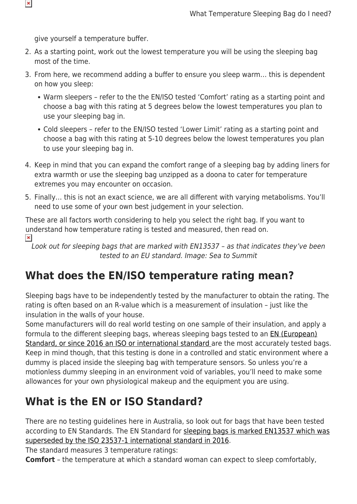give yourself a temperature buffer.

 $\pmb{\times}$ 

- 2. As a starting point, work out the lowest temperature you will be using the sleeping bag most of the time.
- 3. From here, we recommend adding a buffer to ensure you sleep warm… this is dependent on how you sleep:
	- Warm sleepers refer to the the EN/ISO tested 'Comfort' rating as a starting point and choose a bag with this rating at 5 degrees below the lowest temperatures you plan to use your sleeping bag in.
	- Cold sleepers refer to the EN/ISO tested 'Lower Limit' rating as a starting point and choose a bag with this rating at 5-10 degrees below the lowest temperatures you plan to use your sleeping bag in.
- 4. Keep in mind that you can expand the comfort range of a sleeping bag by adding liners for extra warmth or use the sleeping bag unzipped as a doona to cater for temperature extremes you may encounter on occasion.
- 5. Finally… this is not an exact science, we are all different with varying metabolisms. You'll need to use some of your own best judgement in your selection.

These are all factors worth considering to help you select the right bag. If you want to understand how temperature rating is tested and measured, then read on.  $\pmb{\times}$ 

Look out for sleeping bags that are marked with EN13537 – as that indicates they've been tested to an EU standard. Image: Sea to Summit

#### **What does the EN/ISO temperature rating mean?**

Sleeping bags have to be independently tested by the manufacturer to obtain the rating. The rating is often based on an R-value which is a measurement of insulation – just like the insulation in the walls of your house.

Some manufacturers will do real world testing on one sample of their insulation, and apply a formula to the different sleeping bags, whereas sleeping bags tested to an **EN** (European) [Standard, or since 2016 an ISO or international standard a](https://en.wikipedia.org/wiki/List_of_EN_standards)re the most accurately tested bags. Keep in mind though, that this testing is done in a controlled and static environment where a dummy is placed inside the sleeping bag with temperature sensors. So unless you're a motionless dummy sleeping in an environment void of variables, you'll need to make some allowances for your own physiological makeup and the equipment you are using.

#### **What is the EN or ISO Standard?**

There are no testing guidelines here in Australia, so look out for bags that have been tested according to EN Standards. The EN Standard for [sleeping bags is marked EN13537 which was](https://en.wikipedia.org/wiki/EN_13537) [superseded by the ISO 23537-1 international standard in 2016.](https://en.wikipedia.org/wiki/EN_13537)

The standard measures 3 temperature ratings:

**Comfort** – the temperature at which a standard woman can expect to sleep comfortably,